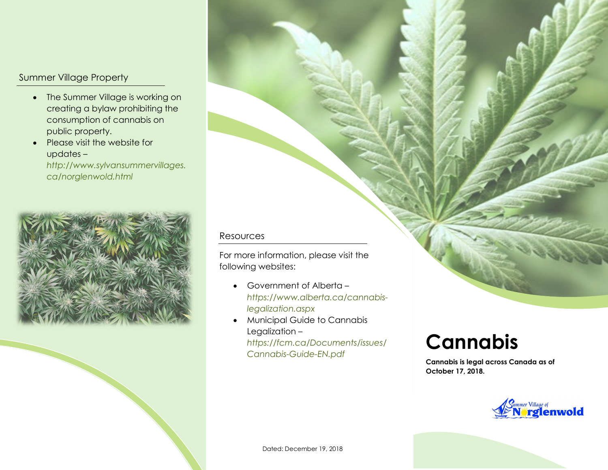## Summer Village Property

- The Summer Village is working on creating a bylaw prohibiting the consumption of cannabis on public property.
- Please visit the website for updates –

*http://www.sylvansummervillages. ca/norglenwold.html*



## Resources

For more information, please visit the following websites:

- Government of Alberta *[https://www.alberta.ca/cannabis](https://www.alberta.ca/cannabis-legalization.aspx)[legalization.aspx](https://www.alberta.ca/cannabis-legalization.aspx)*
- Municipal Guide to Cannabis Legalization – *[https://fcm.ca/Documents/issues/](https://fcm.ca/Documents/issues/Cannabis-Guide-EN.pdf) [Cannabis-Guide-EN.pdf](https://fcm.ca/Documents/issues/Cannabis-Guide-EN.pdf)*

## **Cannabis**

**Cannabis is legal across Canada as of October 17, 2018.**